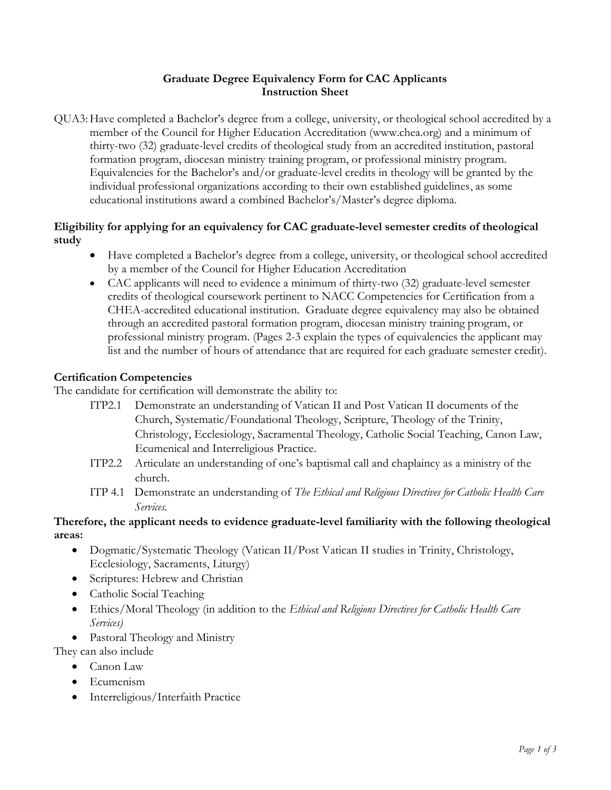# Graduate Degree Equivalency Form for CAC Applicants Instruction Sheet

QUA3: Have completed a Bachelor's degree from a college, university, or theological school accredited by a member of the Council for Higher Education Accreditation (www.chea.org) and a minimum of thirty-two (32) graduate-level credits of theological study from an accredited institution, pastoral formation program, diocesan ministry training program, or professional ministry program. Equivalencies for the Bachelor's and/or graduate-level credits in theology will be granted by the individual professional organizations according to their own established guidelines, as some educational institutions award a combined Bachelor's/Master's degree diploma.

## Eligibility for applying for an equivalency for CAC graduate-level semester credits of theological study

- Have completed a Bachelor's degree from a college, university, or theological school accredited by a member of the Council for Higher Education Accreditation
- CAC applicants will need to evidence a minimum of thirty-two (32) graduate-level semester credits of theological coursework pertinent to NACC Competencies for Certification from a CHEA-accredited educational institution. Graduate degree equivalency may also be obtained through an accredited pastoral formation program, diocesan ministry training program, or professional ministry program. (Pages 2-3 explain the types of equivalencies the applicant may list and the number of hours of attendance that are required for each graduate semester credit).

# Certification Competencies

The candidate for certification will demonstrate the ability to:

- ITP2.1 Demonstrate an understanding of Vatican II and Post Vatican II documents of the Church, Systematic/Foundational Theology, Scripture, Theology of the Trinity, Christology, Ecclesiology, Sacramental Theology, Catholic Social Teaching, Canon Law, Ecumenical and Interreligious Practice.
- ITP2.2 Articulate an understanding of one's baptismal call and chaplaincy as a ministry of the church.
- ITP 4.1 Demonstrate an understanding of The Ethical and Religious Directives for Catholic Health Care Services.

# Therefore, the applicant needs to evidence graduate-level familiarity with the following theological areas:

- Dogmatic/Systematic Theology (Vatican II/Post Vatican II studies in Trinity, Christology, Ecclesiology, Sacraments, Liturgy)
- Scriptures: Hebrew and Christian
- Catholic Social Teaching
- Ethics/Moral Theology (in addition to the Ethical and Religions Directives for Catholic Health Care Services)
- Pastoral Theology and Ministry

They can also include

- Canon Law
- Ecumenism
- Interreligious/Interfaith Practice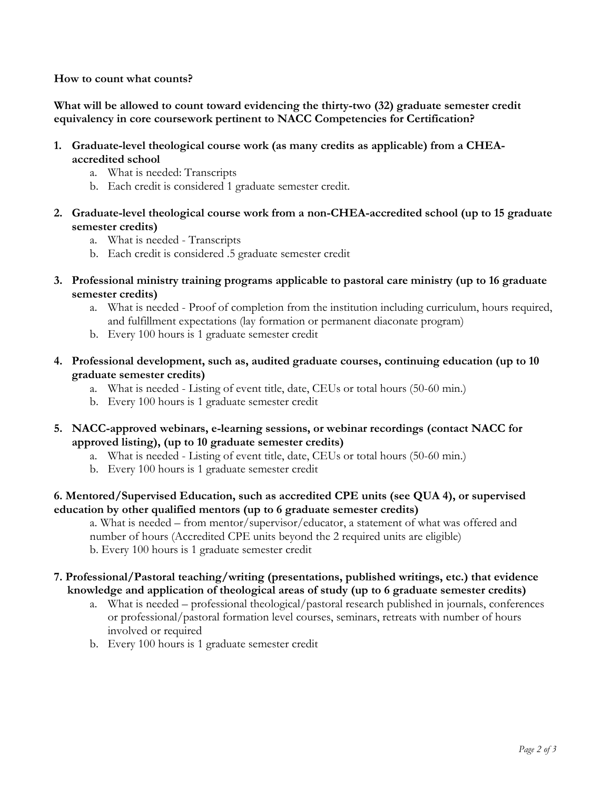How to count what counts?

What will be allowed to count toward evidencing the thirty-two (32) graduate semester credit equivalency in core coursework pertinent to NACC Competencies for Certification?

- 1. Graduate-level theological course work (as many credits as applicable) from a CHEAaccredited school
	- a. What is needed: Transcripts
	- b. Each credit is considered 1 graduate semester credit.
- 2. Graduate-level theological course work from a non-CHEA-accredited school (up to 15 graduate semester credits)
	- a. What is needed Transcripts
	- b. Each credit is considered .5 graduate semester credit
- 3. Professional ministry training programs applicable to pastoral care ministry (up to 16 graduate semester credits)
	- a. What is needed Proof of completion from the institution including curriculum, hours required, and fulfillment expectations (lay formation or permanent diaconate program)
	- b. Every 100 hours is 1 graduate semester credit
- 4. Professional development, such as, audited graduate courses, continuing education (up to 10 graduate semester credits)
	- a. What is needed Listing of event title, date, CEUs or total hours (50-60 min.)
	- b. Every 100 hours is 1 graduate semester credit
- 5. NACC-approved webinars, e-learning sessions, or webinar recordings (contact NACC for approved listing), (up to 10 graduate semester credits)
	- a. What is needed Listing of event title, date, CEUs or total hours (50-60 min.)
	- b. Every 100 hours is 1 graduate semester credit

#### 6. Mentored/Supervised Education, such as accredited CPE units (see QUA 4), or supervised education by other qualified mentors (up to 6 graduate semester credits)

a. What is needed – from mentor/supervisor/educator, a statement of what was offered and number of hours (Accredited CPE units beyond the 2 required units are eligible) b. Every 100 hours is 1 graduate semester credit

#### 7. Professional/Pastoral teaching/writing (presentations, published writings, etc.) that evidence knowledge and application of theological areas of study (up to 6 graduate semester credits)

- a. What is needed professional theological/pastoral research published in journals, conferences or professional/pastoral formation level courses, seminars, retreats with number of hours involved or required
- b. Every 100 hours is 1 graduate semester credit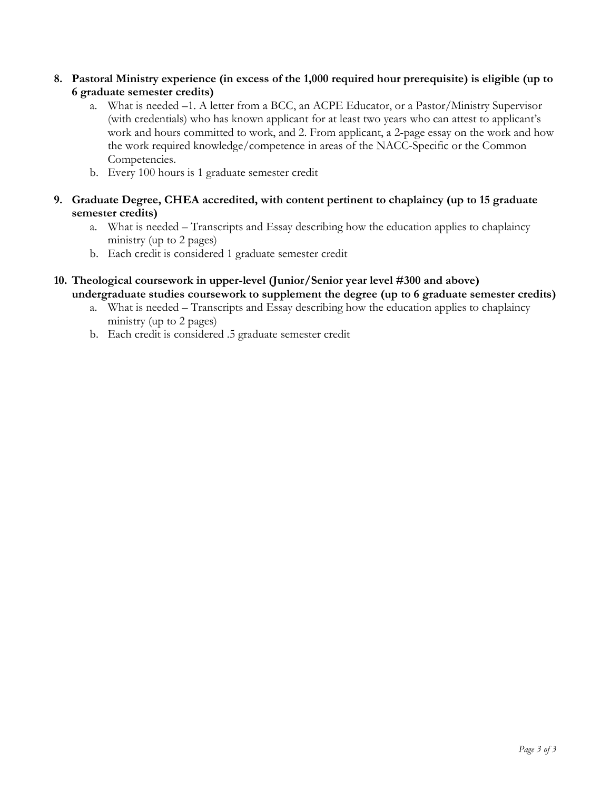- 8. Pastoral Ministry experience (in excess of the 1,000 required hour prerequisite) is eligible (up to 6 graduate semester credits)
	- a. What is needed –1. A letter from a BCC, an ACPE Educator, or a Pastor/Ministry Supervisor (with credentials) who has known applicant for at least two years who can attest to applicant's work and hours committed to work, and 2. From applicant, a 2-page essay on the work and how the work required knowledge/competence in areas of the NACC-Specific or the Common Competencies.
	- b. Every 100 hours is 1 graduate semester credit
- 9. Graduate Degree, CHEA accredited, with content pertinent to chaplaincy (up to 15 graduate semester credits)
	- a. What is needed Transcripts and Essay describing how the education applies to chaplaincy ministry (up to 2 pages)
	- b. Each credit is considered 1 graduate semester credit
- 10. Theological coursework in upper-level (Junior/Senior year level #300 and above) undergraduate studies coursework to supplement the degree (up to 6 graduate semester credits)
	- a. What is needed Transcripts and Essay describing how the education applies to chaplaincy ministry (up to 2 pages)
	- b. Each credit is considered .5 graduate semester credit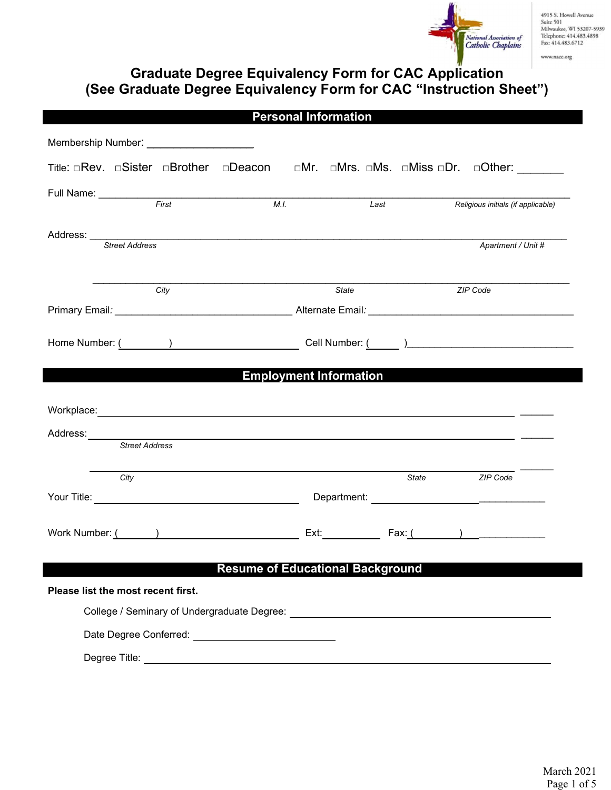

www.nacc.org

# Graduate Degree Equivalency Form for CAC Application (See Graduate Degree Equivalency Form for CAC "Instruction Sheet")

|          |                                    |      |                                                          |      | <b>Personal Information</b>             |       |                                                                                                                       |  |
|----------|------------------------------------|------|----------------------------------------------------------|------|-----------------------------------------|-------|-----------------------------------------------------------------------------------------------------------------------|--|
|          |                                    |      |                                                          |      |                                         |       |                                                                                                                       |  |
|          |                                    |      |                                                          |      |                                         |       | Title: □Rev. □Sister □Brother □Deacon □Mr. □Mrs. □Ms. □Miss □Dr. □Other: _______                                      |  |
|          |                                    |      |                                                          | M.I. |                                         | Last  |                                                                                                                       |  |
|          |                                    |      |                                                          |      |                                         |       | Religious initials (if applicable)                                                                                    |  |
|          | Street Address                     |      |                                                          |      |                                         |       | Apartment / Unit #                                                                                                    |  |
|          |                                    |      |                                                          |      |                                         |       |                                                                                                                       |  |
|          |                                    | City |                                                          |      | State                                   |       | ZIP Code                                                                                                              |  |
|          |                                    |      |                                                          |      |                                         |       |                                                                                                                       |  |
|          |                                    |      |                                                          |      |                                         |       |                                                                                                                       |  |
|          |                                    |      |                                                          |      |                                         |       |                                                                                                                       |  |
|          |                                    |      |                                                          |      | <b>Employment Information</b>           |       |                                                                                                                       |  |
|          |                                    |      |                                                          |      |                                         |       |                                                                                                                       |  |
|          |                                    |      |                                                          |      |                                         |       |                                                                                                                       |  |
| Address: |                                    |      |                                                          |      |                                         |       | <u>. A strong part of the strong part of the strong part of the strong part of the strong part of the strong part</u> |  |
|          | <b>Street Address</b>              |      |                                                          |      |                                         |       |                                                                                                                       |  |
|          | City                               |      |                                                          |      |                                         | State | ZIP Code                                                                                                              |  |
|          |                                    |      |                                                          |      |                                         |       |                                                                                                                       |  |
|          |                                    |      |                                                          |      |                                         |       |                                                                                                                       |  |
|          |                                    |      |                                                          |      |                                         |       |                                                                                                                       |  |
|          |                                    |      |                                                          |      | <b>Resume of Educational Background</b> |       |                                                                                                                       |  |
|          | Please list the most recent first. |      |                                                          |      |                                         |       |                                                                                                                       |  |
|          |                                    |      |                                                          |      |                                         |       |                                                                                                                       |  |
|          |                                    |      | Date Degree Conferred: _________________________________ |      |                                         |       |                                                                                                                       |  |
|          |                                    |      |                                                          |      |                                         |       |                                                                                                                       |  |
|          |                                    |      |                                                          |      |                                         |       |                                                                                                                       |  |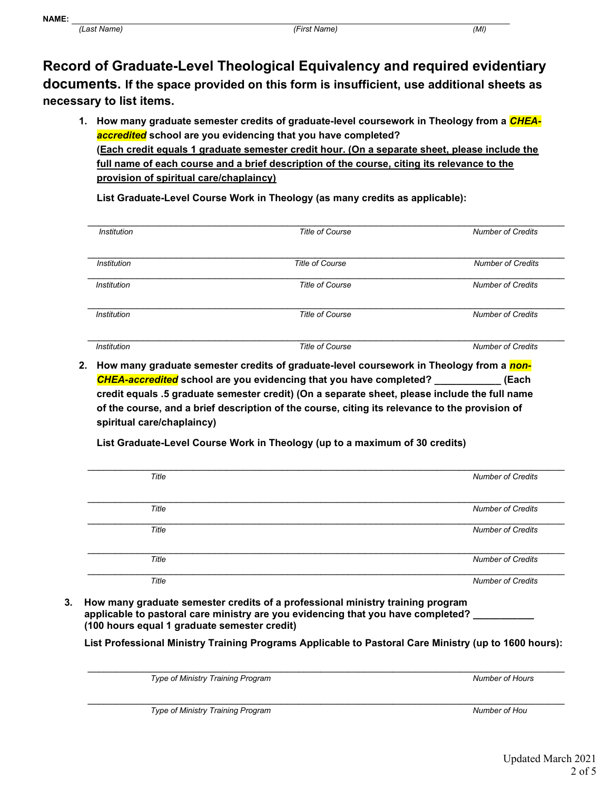Record of Graduate-Level Theological Equivalency and required evidentiary documents. If the space provided on this form is insufficient, use additional sheets as necessary to list items.

1. How many graduate semester credits of graduate-level coursework in Theology from a *CHEA*accredited school are you evidencing that you have completed? (Each credit equals 1 graduate semester credit hour. (On a separate sheet, please include the full name of each course and a brief description of the course, citing its relevance to the provision of spiritual care/chaplaincy)

List Graduate-Level Course Work in Theology (as many credits as applicable):

| <b>Institution</b> | <b>Title of Course</b> | <b>Number of Credits</b> |
|--------------------|------------------------|--------------------------|
|                    |                        |                          |
| <b>Institution</b> | <b>Title of Course</b> | <b>Number of Credits</b> |
| <b>Institution</b> | <b>Title of Course</b> | <b>Number of Credits</b> |
| <b>Institution</b> | <b>Title of Course</b> | <b>Number of Credits</b> |
|                    |                        |                          |
| <b>Institution</b> | <b>Title of Course</b> | <b>Number of Credits</b> |

2. How many graduate semester credits of graduate-level coursework in Theology from a non-CHEA-accredited school are you evidencing that you have completed? **Each** (Each credit equals .5 graduate semester credit) (On a separate sheet, please include the full name of the course, and a brief description of the course, citing its relevance to the provision of spiritual care/chaplaincy)

\_\_\_\_\_\_\_\_\_\_\_\_\_\_\_\_\_\_\_\_\_\_\_\_\_\_\_\_\_\_\_\_\_\_\_\_\_\_\_\_\_\_\_\_\_\_\_\_\_\_\_\_\_\_\_\_\_\_\_\_\_\_\_\_\_\_\_\_\_\_\_\_\_\_\_\_\_\_\_\_\_\_\_\_\_\_ Title **Number of Credits** \_\_\_\_\_\_\_\_\_\_\_\_\_\_\_\_\_\_\_\_\_\_\_\_\_\_\_\_\_\_\_\_\_\_\_\_\_\_\_\_\_\_\_\_\_\_\_\_\_\_\_\_\_\_\_\_\_\_\_\_\_\_\_\_\_\_\_\_\_\_\_\_\_\_\_\_\_\_\_\_\_\_\_\_\_\_ Title **Number of Credits**  $\mathcal{L}_\mathcal{L} = \mathcal{L}_\mathcal{L} = \mathcal{L}_\mathcal{L} = \mathcal{L}_\mathcal{L} = \mathcal{L}_\mathcal{L} = \mathcal{L}_\mathcal{L} = \mathcal{L}_\mathcal{L} = \mathcal{L}_\mathcal{L} = \mathcal{L}_\mathcal{L} = \mathcal{L}_\mathcal{L} = \mathcal{L}_\mathcal{L} = \mathcal{L}_\mathcal{L} = \mathcal{L}_\mathcal{L} = \mathcal{L}_\mathcal{L} = \mathcal{L}_\mathcal{L} = \mathcal{L}_\mathcal{L} = \mathcal{L}_\mathcal{L}$ Title **Number of Credits** \_\_\_\_\_\_\_\_\_\_\_\_\_\_\_\_\_\_\_\_\_\_\_\_\_\_\_\_\_\_\_\_\_\_\_\_\_\_\_\_\_\_\_\_\_\_\_\_\_\_\_\_\_\_\_\_\_\_\_\_\_\_\_\_\_\_\_\_\_\_\_\_\_\_\_\_\_\_\_\_\_\_\_\_\_\_ Title **Number of Credits** Title Number of Credits

List Graduate-Level Course Work in Theology (up to a maximum of 30 credits)

3. How many graduate semester credits of a professional ministry training program applicable to pastoral care ministry are you evidencing that you have completed? (100 hours equal 1 graduate semester credit)

List Professional Ministry Training Programs Applicable to Pastoral Care Ministry (up to 1600 hours):

Type of Ministry Training Program Number of Hours and Training Program Number of Hours and Training Program Number of Hours

Type of Ministry Training Program Number of House Structure and Training Program Number of House Structure and Number of House Structure and Number of House Structure and Number of House Structure and Number of House Struc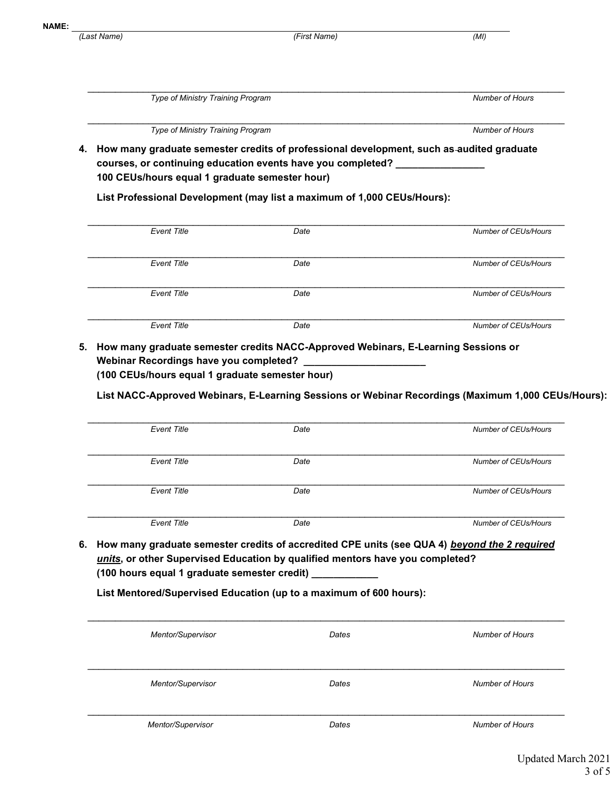(Last Name) (First Name) (MI)

\_\_\_\_\_\_\_\_\_\_\_\_\_\_\_\_\_\_\_\_\_\_\_\_\_\_\_\_\_\_\_\_\_\_\_\_\_\_\_\_\_\_\_\_\_\_\_\_\_\_\_\_\_\_\_\_\_\_\_\_\_\_\_\_\_\_\_\_\_\_\_\_\_\_\_\_\_\_\_\_\_\_\_\_\_\_ Type of Ministry Training Program Number of Hours and Training Program Number of Hours and Training Program Number of Hours and Training and Training and Training and Training and Training and Training and Training and Tra \_\_\_\_\_\_\_\_\_\_\_\_\_\_\_\_\_\_\_\_\_\_\_\_\_\_\_\_\_\_\_\_\_\_\_\_\_\_\_\_\_\_\_\_\_\_\_\_\_\_\_\_\_\_\_\_\_\_\_\_\_\_\_\_\_\_\_\_\_\_\_\_\_\_\_\_\_\_\_\_\_\_\_\_\_\_

Type of Ministry Training Program Number of Hours and Training Program Number of Hours and Training Program Number of Hours and Training and Training and Training and Training and Training and Training and Training and Tra

- 
- 4. How many graduate semester credits of professional development, such as audited graduate courses, or continuing education events have you completed? 100 CEUs/hours equal 1 graduate semester hour)

List Professional Development (may list a maximum of 1,000 CEUs/Hours):

| Event Title        | Date | Number of CEUs/Hours        |
|--------------------|------|-----------------------------|
|                    |      |                             |
| <b>Event Title</b> | Date | Number of CEUs/Hours        |
|                    |      |                             |
| <b>Event Title</b> | Date | Number of CEUs/Hours        |
|                    |      |                             |
| <b>Event Title</b> | Date | <b>Number of CEUs/Hours</b> |

5. How many graduate semester credits NACC-Approved Webinars, E-Learning Sessions or Webinar Recordings have you completed? (100 CEUs/hours equal 1 graduate semester hour)

List NACC-Approved Webinars, E-Learning Sessions or Webinar Recordings (Maximum 1,000 CEUs/Hours):

| Event Title | Date | Number of CEUs/Hours |
|-------------|------|----------------------|
|             |      |                      |
| Event Title | Date | Number of CEUs/Hours |
|             |      |                      |
| Event Title | Date | Number of CEUs/Hours |
|             |      |                      |
| Event Title | Date | Number of CEUs/Hours |

6. How many graduate semester credits of accredited CPE units (see QUA 4) beyond the 2 required units, or other Supervised Education by qualified mentors have you completed? (100 hours equal 1 graduate semester credit) \_\_\_\_\_\_\_\_\_\_\_\_

List Mentored/Supervised Education (up to a maximum of 600 hours):

| Mentor/Supervisor | Dates | <b>Number of Hours</b> |
|-------------------|-------|------------------------|
|                   |       |                        |
|                   |       |                        |
| Mentor/Supervisor | Dates | <b>Number of Hours</b> |
|                   |       |                        |
|                   |       |                        |
| Mentor/Supervisor | Dates | <b>Number of Hours</b> |
|                   |       |                        |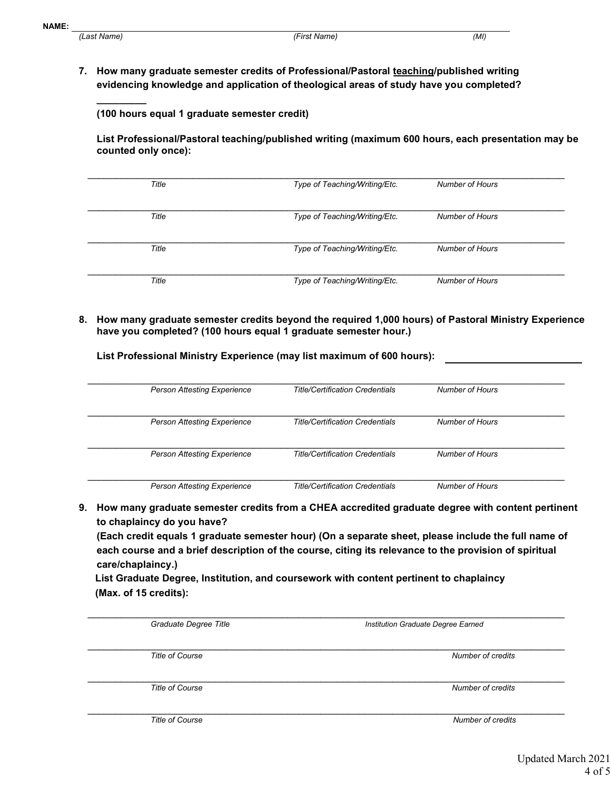$\frac{1}{2}$ 

7. How many graduate semester credits of Professional/Pastoral teaching/published writing evidencing knowledge and application of theological areas of study have you completed?

(100 hours equal 1 graduate semester credit)

List Professional/Pastoral teaching/published writing (maximum 600 hours, each presentation may be counted only once):

| Title | Type of Teaching/Writing/Etc. | Number of Hours |  |
|-------|-------------------------------|-----------------|--|
| Title | Type of Teaching/Writing/Etc. | Number of Hours |  |
| Title | Type of Teaching/Writing/Etc. | Number of Hours |  |
| Title | Type of Teaching/Writing/Etc. | Number of Hours |  |

8. How many graduate semester credits beyond the required 1,000 hours) of Pastoral Ministry Experience have you completed? (100 hours equal 1 graduate semester hour.)

List Professional Ministry Experience (may list maximum of 600 hours):

| <b>Person Attesting Experience</b> | <b>Title/Certification Credentials</b> | Number of Hours        |
|------------------------------------|----------------------------------------|------------------------|
| <b>Person Attesting Experience</b> | <b>Title/Certification Credentials</b> | <b>Number of Hours</b> |
| <b>Person Attesting Experience</b> | <b>Title/Certification Credentials</b> | Number of Hours        |
| <b>Person Attesting Experience</b> | <b>Title/Certification Credentials</b> | <b>Number of Hours</b> |

9. How many graduate semester credits from a CHEA accredited graduate degree with content pertinent to chaplaincy do you have?

(Each credit equals 1 graduate semester hour) (On a separate sheet, please include the full name of each course and a brief description of the course, citing its relevance to the provision of spiritual care/chaplaincy.)

List Graduate Degree, Institution, and coursework with content pertinent to chaplaincy (Max. of 15 credits):

| Graduate Degree Title  | Institution Graduate Degree Earned |
|------------------------|------------------------------------|
| <b>Title of Course</b> | Number of credits                  |
| <b>Title of Course</b> | Number of credits                  |
| <b>Title of Course</b> | Number of credits                  |